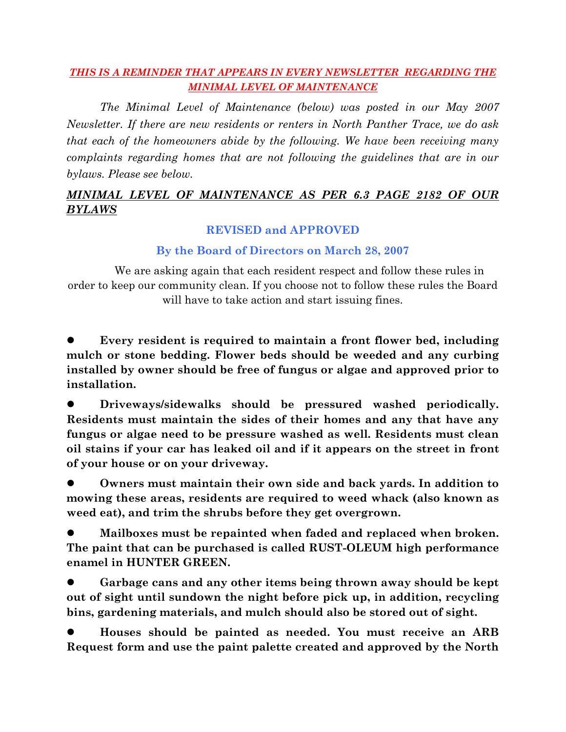## *THIS IS A REMINDER THAT APPEARS IN EVERY NEWSLETTER REGARDING THE MINIMAL LEVEL OF MAINTENANCE*

*The Minimal Level of Maintenance (below) was posted in our May 2007 Newsletter. If there are new residents or renters in North Panther Trace, we do ask that each of the homeowners abide by the following. We have been receiving many complaints regarding homes that are not following the guidelines that are in our bylaws. Please see below.*

## *MINIMAL LEVEL OF MAINTENANCE AS PER 6.3 PAGE 2182 OF OUR BYLAWS*

## **REVISED and APPROVED**

## **By the Board of Directors on March 28, 2007**

We are asking again that each resident respect and follow these rules in order to keep our community clean. If you choose not to follow these rules the Board will have to take action and start issuing fines.

 **Every resident is required to maintain a front flower bed, including mulch or stone bedding. Flower beds should be weeded and any curbing installed by owner should be free of fungus or algae and approved prior to installation.**

 **Driveways/sidewalks should be pressured washed periodically. Residents must maintain the sides of their homes and any that have any fungus or algae need to be pressure washed as well. Residents must clean oil stains if your car has leaked oil and if it appears on the street in front of your house or on your driveway.**

 **Owners must maintain their own side and back yards. In addition to mowing these areas, residents are required to weed whack (also known as weed eat), and trim the shrubs before they get overgrown.**

 **Mailboxes must be repainted when faded and replaced when broken. The paint that can be purchased is called RUST-OLEUM high performance enamel in HUNTER GREEN.** 

 **Garbage cans and any other items being thrown away should be kept out of sight until sundown the night before pick up, in addition, recycling bins, gardening materials, and mulch should also be stored out of sight.**

 **Houses should be painted as needed. You must receive an ARB Request form and use the paint palette created and approved by the North**